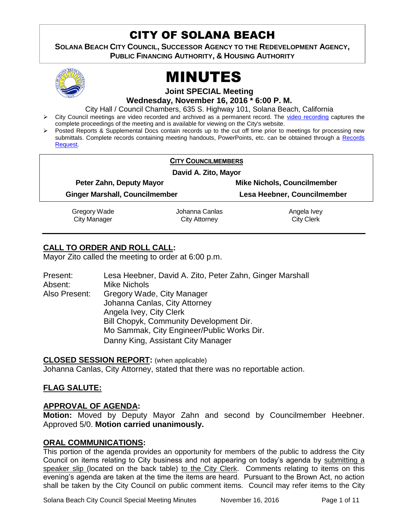# CITY OF SOLANA BEACH

**SOLANA BEACH CITY COUNCIL, SUCCESSOR AGENCY TO THE REDEVELOPMENT AGENCY, PUBLIC FINANCING AUTHORITY, & HOUSING AUTHORITY** 



# MINUTES

**Joint SPECIAL Meeting**

**Wednesday, November 16, 2016 \* 6:00 P. M.**

City Hall / Council Chambers, 635 S. Highway 101, Solana Beach, California

- > City Council meetings are video recorded and archived as a permanent record. The [video recording](https://solanabeach.12milesout.com/video/meeting/1c091532-0bae-44f9-ad27-097f65e04959) captures the complete proceedings of the meeting and is available for viewing on the City's website.
- Posted Reports & Supplemental Docs contain records up to the cut off time prior to meetings for processing new submittals. Complete records containing meeting handouts, PowerPoints, etc. can be obtained through a [Records](http://www.ci.solana-beach.ca.us/index.asp?SEC=F5D45D10-70CE-4291-A27C-7BD633FC6742&Type=B_BASIC)  [Request.](http://www.ci.solana-beach.ca.us/index.asp?SEC=F5D45D10-70CE-4291-A27C-7BD633FC6742&Type=B_BASIC)

|                                       | <b>CITY COUNCILMEMBERS</b> |                                    |  |
|---------------------------------------|----------------------------|------------------------------------|--|
| David A. Zito, Mayor                  |                            |                                    |  |
| Peter Zahn, Deputy Mayor              |                            | <b>Mike Nichols, Councilmember</b> |  |
| <b>Ginger Marshall, Councilmember</b> |                            | Lesa Heebner, Councilmember        |  |
| Gregory Wade                          | Johanna Canlas             | Angela Ivey                        |  |
| <b>City Manager</b>                   | City Attorney              | <b>City Clerk</b>                  |  |

# **CALL TO ORDER AND ROLL CALL:**

Mayor Zito called the meeting to order at 6:00 p.m.

| Present:      | Lesa Heebner, David A. Zito, Peter Zahn, Ginger Marshall |
|---------------|----------------------------------------------------------|
| Absent:       | <b>Mike Nichols</b>                                      |
| Also Present: | Gregory Wade, City Manager                               |
|               | Johanna Canlas, City Attorney                            |
|               | Angela Ivey, City Clerk                                  |
|               | Bill Chopyk, Community Development Dir.                  |
|               | Mo Sammak, City Engineer/Public Works Dir.               |
|               | Danny King, Assistant City Manager                       |

#### **CLOSED SESSION REPORT:** (when applicable)

Johanna Canlas, City Attorney, stated that there was no reportable action.

#### **FLAG SALUTE:**

#### **APPROVAL OF AGENDA:**

**Motion:** Moved by Deputy Mayor Zahn and second by Councilmember Heebner. Approved 5/0. **Motion carried unanimously.**

#### **ORAL COMMUNICATIONS:**

This portion of the agenda provides an opportunity for members of the public to address the City Council on items relating to City business and not appearing on today's agenda by submitting a speaker slip (located on the back table) to the City Clerk. Comments relating to items on this evening's agenda are taken at the time the items are heard. Pursuant to the Brown Act, no action shall be taken by the City Council on public comment items. Council may refer items to the City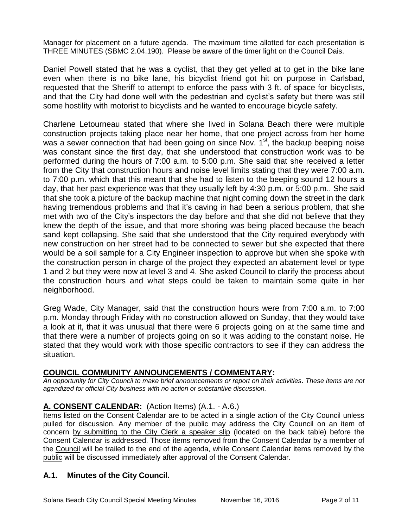Manager for placement on a future agenda. The maximum time allotted for each presentation is THREE MINUTES (SBMC 2.04.190). Please be aware of the timer light on the Council Dais.

Daniel Powell stated that he was a cyclist, that they get yelled at to get in the bike lane even when there is no bike lane, his bicyclist friend got hit on purpose in Carlsbad, requested that the Sheriff to attempt to enforce the pass with 3 ft. of space for bicyclists, and that the City had done well with the pedestrian and cyclist's safety but there was still some hostility with motorist to bicyclists and he wanted to encourage bicycle safety.

Charlene Letourneau stated that where she lived in Solana Beach there were multiple construction projects taking place near her home, that one project across from her home was a sewer connection that had been going on since Nov.  $1<sup>st</sup>$ , the backup beeping noise was constant since the first day, that she understood that construction work was to be performed during the hours of 7:00 a.m. to 5:00 p.m. She said that she received a letter from the City that construction hours and noise level limits stating that they were 7:00 a.m. to 7:00 p.m. which that this meant that she had to listen to the beeping sound 12 hours a day, that her past experience was that they usually left by 4:30 p.m. or 5:00 p.m.. She said that she took a picture of the backup machine that night coming down the street in the dark having tremendous problems and that it's caving in had been a serious problem, that she met with two of the City's inspectors the day before and that she did not believe that they knew the depth of the issue, and that more shoring was being placed because the beach sand kept collapsing. She said that she understood that the City required everybody with new construction on her street had to be connected to sewer but she expected that there would be a soil sample for a City Engineer inspection to approve but when she spoke with the construction person in charge of the project they expected an abatement level or type 1 and 2 but they were now at level 3 and 4. She asked Council to clarify the process about the construction hours and what steps could be taken to maintain some quite in her neighborhood.

Greg Wade, City Manager, said that the construction hours were from 7:00 a.m. to 7:00 p.m. Monday through Friday with no construction allowed on Sunday, that they would take a look at it, that it was unusual that there were 6 projects going on at the same time and that there were a number of projects going on so it was adding to the constant noise. He stated that they would work with those specific contractors to see if they can address the situation.

#### **COUNCIL COMMUNITY ANNOUNCEMENTS / COMMENTARY:**

*An opportunity for City Council to make brief announcements or report on their activities. These items are not agendized for official City business with no action or substantive discussion.* 

# **A. CONSENT CALENDAR:** (Action Items) (A.1. - A.6.)

Items listed on the Consent Calendar are to be acted in a single action of the City Council unless pulled for discussion. Any member of the public may address the City Council on an item of concern by submitting to the City Clerk a speaker slip (located on the back table) before the Consent Calendar is addressed. Those items removed from the Consent Calendar by a member of the Council will be trailed to the end of the agenda, while Consent Calendar items removed by the public will be discussed immediately after approval of the Consent Calendar.

# **A.1. Minutes of the City Council.**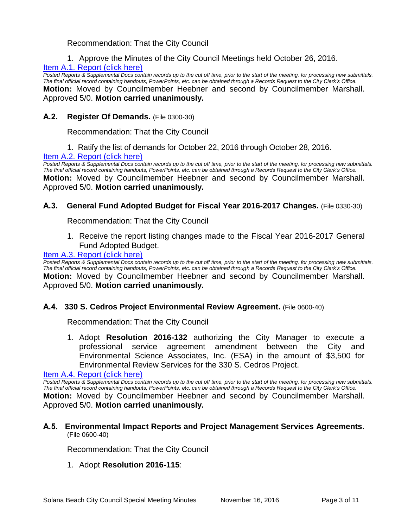Recommendation: That the City Council

1. Approve the Minutes of the City Council Meetings held October 26, 2016.

#### [Item A.1. Report \(click here\)](https://solanabeach.govoffice3.com/vertical/Sites/%7B840804C2-F869-4904-9AE3-720581350CE7%7D/uploads/Item_A.1._Report_(click_here)_-_11-16-16.PDF)

*Posted Reports & Supplemental Docs contain records up to the cut off time, prior to the start of the meeting, for processing new submittals. The final official record containing handouts, PowerPoints, etc. can be obtained through a Records Request to the City Clerk's Office.* **Motion:** Moved by Councilmember Heebner and second by Councilmember Marshall. Approved 5/0. **Motion carried unanimously.**

#### **A.2. Register Of Demands.** (File 0300-30)

Recommendation: That the City Council

1. Ratify the list of demands for October 22, 2016 through October 28, 2016.

#### [Item A.2. Report \(click here\)](https://solanabeach.govoffice3.com/vertical/Sites/%7B840804C2-F869-4904-9AE3-720581350CE7%7D/uploads/Item_A.2._Report_(click_here)_-_11-16-16.PDF)

*Posted Reports & Supplemental Docs contain records up to the cut off time, prior to the start of the meeting, for processing new submittals. The final official record containing handouts, PowerPoints, etc. can be obtained through a Records Request to the City Clerk's Office.* **Motion:** Moved by Councilmember Heebner and second by Councilmember Marshall. Approved 5/0. **Motion carried unanimously.**

#### **A.3. General Fund Adopted Budget for Fiscal Year 2016-2017 Changes.** (File 0330-30)

Recommendation: That the City Council

1. Receive the report listing changes made to the Fiscal Year 2016-2017 General Fund Adopted Budget.

#### Item A.3. Report (click here)

*Posted Reports & Supplemental Docs contain records up to the cut off time, prior to the start of the meeting, for processing new submittals. The final official record containing handouts, PowerPoints, etc. can be obtained through a Records Request to the City Clerk's Office.* **Motion:** Moved by Councilmember Heebner and second by Councilmember Marshall. Approved 5/0. **Motion carried unanimously.**

#### **A.4. 330 S. Cedros Project Environmental Review Agreement.** (File 0600-40)

Recommendation: That the City Council

1. Adopt **Resolution 2016-132** authorizing the City Manager to execute a professional service agreement amendment between the City and Environmental Science Associates, Inc. (ESA) in the amount of \$3,500 for Environmental Review Services for the 330 S. Cedros Project.

[Item A.4. Report \(click here\)](https://solanabeach.govoffice3.com/vertical/Sites/%7B840804C2-F869-4904-9AE3-720581350CE7%7D/uploads/Item_A.4._Report_(click_here)_-_11-16-16.PDF) 

*Posted Reports & Supplemental Docs contain records up to the cut off time, prior to the start of the meeting, for processing new submittals. The final official record containing handouts, PowerPoints, etc. can be obtained through a Records Request to the City Clerk's Office.* **Motion:** Moved by Councilmember Heebner and second by Councilmember Marshall. Approved 5/0. **Motion carried unanimously.**

#### **A.5. Environmental Impact Reports and Project Management Services Agreements.**  (File 0600-40)

Recommendation: That the City Council

1. Adopt **Resolution 2016-115**: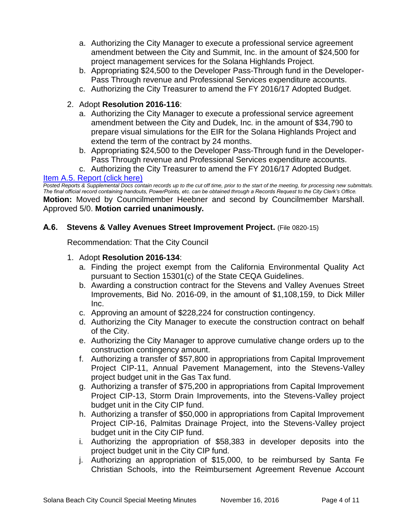- a. Authorizing the City Manager to execute a professional service agreement amendment between the City and Summit, Inc. in the amount of \$24,500 for project management services for the Solana Highlands Project.
- b. Appropriating \$24,500 to the Developer Pass-Through fund in the Developer-Pass Through revenue and Professional Services expenditure accounts.
- c. Authorizing the City Treasurer to amend the FY 2016/17 Adopted Budget.

# 2. Adopt **Resolution 2016-116**:

- a. Authorizing the City Manager to execute a professional service agreement amendment between the City and Dudek, Inc. in the amount of \$34,790 to prepare visual simulations for the EIR for the Solana Highlands Project and extend the term of the contract by 24 months.
- b. Appropriating \$24,500 to the Developer Pass-Through fund in the Developer-Pass Through revenue and Professional Services expenditure accounts.
- c. Authorizing the City Treasurer to amend the FY 2016/17 Adopted Budget.

#### [Item A.5. Report \(click here\)](https://solanabeach.govoffice3.com/vertical/Sites/%7B840804C2-F869-4904-9AE3-720581350CE7%7D/uploads/Item_A.5._Report_(click_here)_-11-16-16.PDF)

*Posted Reports & Supplemental Docs contain records up to the cut off time, prior to the start of the meeting, for processing new submittals. The final official record containing handouts, PowerPoints, etc. can be obtained through a Records Request to the City Clerk's Office.* **Motion:** Moved by Councilmember Heebner and second by Councilmember Marshall. Approved 5/0. **Motion carried unanimously.**

## **A.6. Stevens & Valley Avenues Street Improvement Project.** (File 0820-15)

Recommendation: That the City Council

- 1. Adopt **Resolution 2016-134**:
	- a. Finding the project exempt from the California Environmental Quality Act pursuant to Section 15301(c) of the State CEQA Guidelines.
	- b. Awarding a construction contract for the Stevens and Valley Avenues Street Improvements, Bid No. 2016-09, in the amount of \$1,108,159, to Dick Miller Inc.
	- c. Approving an amount of \$228,224 for construction contingency.
	- d. Authorizing the City Manager to execute the construction contract on behalf of the City.
	- e. Authorizing the City Manager to approve cumulative change orders up to the construction contingency amount.
	- f. Authorizing a transfer of \$57,800 in appropriations from Capital Improvement Project CIP-11, Annual Pavement Management, into the Stevens-Valley project budget unit in the Gas Tax fund.
	- g. Authorizing a transfer of \$75,200 in appropriations from Capital Improvement Project CIP-13, Storm Drain Improvements, into the Stevens-Valley project budget unit in the City CIP fund.
	- h. Authorizing a transfer of \$50,000 in appropriations from Capital Improvement Project CIP-16, Palmitas Drainage Project, into the Stevens-Valley project budget unit in the City CIP fund.
	- i. Authorizing the appropriation of \$58,383 in developer deposits into the project budget unit in the City CIP fund.
	- j. Authorizing an appropriation of \$15,000, to be reimbursed by Santa Fe Christian Schools, into the Reimbursement Agreement Revenue Account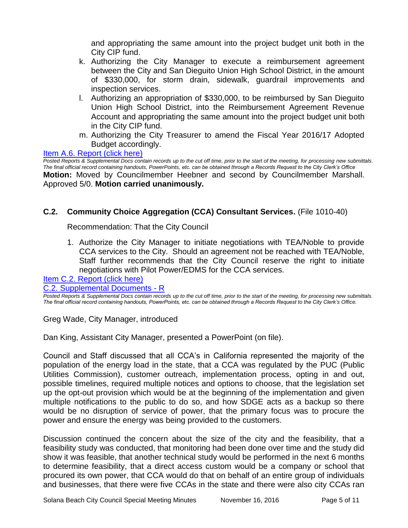and appropriating the same amount into the project budget unit both in the City CIP fund.

- k. Authorizing the City Manager to execute a reimbursement agreement between the City and San Dieguito Union High School District, in the amount of \$330,000, for storm drain, sidewalk, guardrail improvements and inspection services.
- l. Authorizing an appropriation of \$330,000, to be reimbursed by San Dieguito Union High School District, into the Reimbursement Agreement Revenue Account and appropriating the same amount into the project budget unit both in the City CIP fund.
- m. Authorizing the City Treasurer to amend the Fiscal Year 2016/17 Adopted Budget accordingly.

#### Item A.6. Report (click here)

*Posted Reports & Supplemental Docs contain records up to the cut off time, prior to the start of the meeting, for processing new submittals. The final official record containing handouts, PowerPoints, etc. can be obtained through a Records Request to the City Clerk's Office* **Motion:** Moved by Councilmember Heebner and second by Councilmember Marshall. Approved 5/0. **Motion carried unanimously.**

#### **C.2. Community Choice Aggregation (CCA) Consultant Services.** (File 1010-40)

Recommendation: That the City Council

1. Authorize the City Manager to initiate negotiations with TEA/Noble to provide CCA services to the City. Should an agreement not be reached with TEA/Noble, Staff further recommends that the City Council reserve the right to initiate negotiations with Pilot Power/EDMS for the CCA services.

[Item C.2. Report \(click here\)](https://solanabeach.govoffice3.com/vertical/Sites/%7B840804C2-F869-4904-9AE3-720581350CE7%7D/uploads/Item_C.2._Report_(click_here)_-_11-16-16.PDF)

[C.2. Supplemental Documents -](https://solanabeach.govoffice3.com/vertical/Sites/%7B840804C2-F869-4904-9AE3-720581350CE7%7D/uploads/C.2._Supplemental_Documents_11-16-16_updated_305pm.pdf) R

*Posted Reports & Supplemental Docs contain records up to the cut off time, prior to the start of the meeting, for processing new submittals. The final official record containing handouts, PowerPoints, etc. can be obtained through a Records Request to the City Clerk's Office.*

Greg Wade, City Manager, introduced

Dan King, Assistant City Manager, presented a PowerPoint (on file).

Council and Staff discussed that all CCA's in California represented the majority of the population of the energy load in the state, that a CCA was regulated by the PUC (Public Utilities Commission), customer outreach, implementation process, opting in and out, possible timelines, required multiple notices and options to choose, that the legislation set up the opt-out provision which would be at the beginning of the implementation and given multiple notifications to the public to do so, and how SDGE acts as a backup so there would be no disruption of service of power, that the primary focus was to procure the power and ensure the energy was being provided to the customers.

Discussion continued the concern about the size of the city and the feasibility, that a feasibility study was conducted, that monitoring had been done over time and the study did show it was feasible, that another technical study would be performed in the next 6 months to determine feasibility, that a direct access custom would be a company or school that procured its own power, that CCA would do that on behalf of an entire group of individuals and businesses, that there were five CCAs in the state and there were also city CCAs ran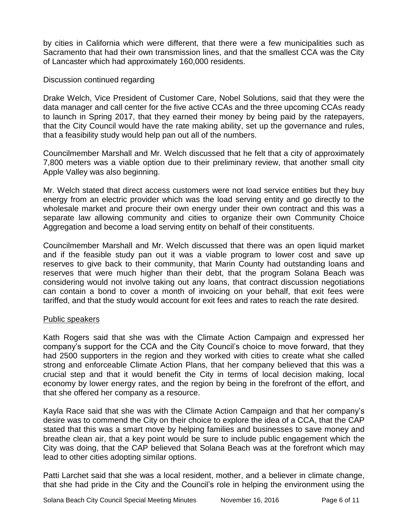by cities in California which were different, that there were a few municipalities such as Sacramento that had their own transmission lines, and that the smallest CCA was the City of Lancaster which had approximately 160,000 residents.

#### Discussion continued regarding

Drake Welch, Vice President of Customer Care, Nobel Solutions, said that they were the data manager and call center for the five active CCAs and the three upcoming CCAs ready to launch in Spring 2017, that they earned their money by being paid by the ratepayers, that the City Council would have the rate making ability, set up the governance and rules, that a feasibility study would help pan out all of the numbers.

Councilmember Marshall and Mr. Welch discussed that he felt that a city of approximately 7,800 meters was a viable option due to their preliminary review, that another small city Apple Valley was also beginning.

Mr. Welch stated that direct access customers were not load service entities but they buy energy from an electric provider which was the load serving entity and go directly to the wholesale market and procure their own energy under their own contract and this was a separate law allowing community and cities to organize their own Community Choice Aggregation and become a load serving entity on behalf of their constituents.

Councilmember Marshall and Mr. Welch discussed that there was an open liquid market and if the feasible study pan out it was a viable program to lower cost and save up reserves to give back to their community, that Marin County had outstanding loans and reserves that were much higher than their debt, that the program Solana Beach was considering would not involve taking out any loans, that contract discussion negotiations can contain a bond to cover a month of invoicing on your behalf, that exit fees were tariffed, and that the study would account for exit fees and rates to reach the rate desired.

#### Public speakers

Kath Rogers said that she was with the Climate Action Campaign and expressed her company's support for the CCA and the City Council's choice to move forward, that they had 2500 supporters in the region and they worked with cities to create what she called strong and enforceable Climate Action Plans, that her company believed that this was a crucial step and that it would benefit the City in terms of local decision making, local economy by lower energy rates, and the region by being in the forefront of the effort, and that she offered her company as a resource.

Kayla Race said that she was with the Climate Action Campaign and that her company's desire was to commend the City on their choice to explore the idea of a CCA, that the CAP stated that this was a smart move by helping families and businesses to save money and breathe clean air, that a key point would be sure to include public engagement which the City was doing, that the CAP believed that Solana Beach was at the forefront which may lead to other cities adopting similar options.

Patti Larchet said that she was a local resident, mother, and a believer in climate change, that she had pride in the City and the Council's role in helping the environment using the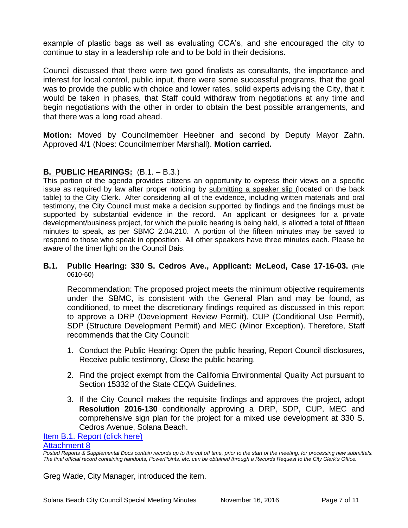example of plastic bags as well as evaluating CCA's, and she encouraged the city to continue to stay in a leadership role and to be bold in their decisions.

Council discussed that there were two good finalists as consultants, the importance and interest for local control, public input, there were some successful programs, that the goal was to provide the public with choice and lower rates, solid experts advising the City, that it would be taken in phases, that Staff could withdraw from negotiations at any time and begin negotiations with the other in order to obtain the best possible arrangements, and that there was a long road ahead.

**Motion:** Moved by Councilmember Heebner and second by Deputy Mayor Zahn. Approved 4/1 (Noes: Councilmember Marshall). **Motion carried.**

## **B. PUBLIC HEARINGS:** (B.1. – B.3.)

This portion of the agenda provides citizens an opportunity to express their views on a specific issue as required by law after proper noticing by submitting a speaker slip (located on the back table) to the City Clerk. After considering all of the evidence, including written materials and oral testimony, the City Council must make a decision supported by findings and the findings must be supported by substantial evidence in the record. An applicant or designees for a private development/business project, for which the public hearing is being held, is allotted a total of fifteen minutes to speak, as per SBMC 2.04.210. A portion of the fifteen minutes may be saved to respond to those who speak in opposition. All other speakers have three minutes each. Please be aware of the timer light on the Council Dais.

#### **B.1. Public Hearing: 330 S. Cedros Ave., Applicant: McLeod, Case 17-16-03.** (File 0610-60)

Recommendation: The proposed project meets the minimum objective requirements under the SBMC, is consistent with the General Plan and may be found, as conditioned, to meet the discretionary findings required as discussed in this report to approve a DRP (Development Review Permit), CUP (Conditional Use Permit), SDP (Structure Development Permit) and MEC (Minor Exception). Therefore, Staff recommends that the City Council:

- 1. Conduct the Public Hearing: Open the public hearing, Report Council disclosures, Receive public testimony, Close the public hearing.
- 2. Find the project exempt from the California Environmental Quality Act pursuant to Section 15332 of the State CEQA Guidelines.
- 3. If the City Council makes the requisite findings and approves the project, adopt **Resolution 2016-130** conditionally approving a DRP, SDP, CUP, MEC and comprehensive sign plan for the project for a mixed use development at 330 S. Cedros Avenue, Solana Beach.

# [Item B.1. Report \(click here\)](https://solanabeach.govoffice3.com/vertical/Sites/%7B840804C2-F869-4904-9AE3-720581350CE7%7D/uploads/Item_B.1._Report_(click_here)_-_11-16-16.PDF)

#### [Attachment 8](https://solanabeach.govoffice3.com/vertical/Sites/%7B840804C2-F869-4904-9AE3-720581350CE7%7D/uploads/Item_B.1._Report_-_Attachment_8_Appendix_-_11-16-2016.pdf)

*Posted Reports & Supplemental Docs contain records up to the cut off time, prior to the start of the meeting, for processing new submittals. The final official record containing handouts, PowerPoints, etc. can be obtained through a Records Request to the City Clerk's Office.*

Greg Wade, City Manager, introduced the item.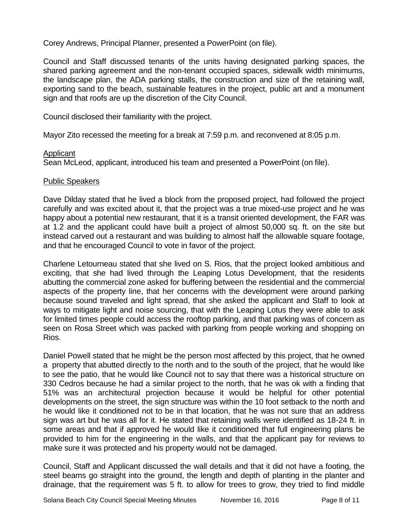Corey Andrews, Principal Planner, presented a PowerPoint (on file).

Council and Staff discussed tenants of the units having designated parking spaces, the shared parking agreement and the non-tenant occupied spaces, sidewalk width minimums, the landscape plan, the ADA parking stalls, the construction and size of the retaining wall, exporting sand to the beach, sustainable features in the project, public art and a monument sign and that roofs are up the discretion of the City Council.

Council disclosed their familiarity with the project.

Mayor Zito recessed the meeting for a break at 7:59 p.m. and reconvened at 8:05 p.m.

#### Applicant

Sean McLeod, applicant, introduced his team and presented a PowerPoint (on file).

## Public Speakers

Dave Dilday stated that he lived a block from the proposed project, had followed the project carefully and was excited about it, that the project was a true mixed-use project and he was happy about a potential new restaurant, that it is a transit oriented development, the FAR was at 1.2 and the applicant could have built a project of almost 50,000 sq. ft. on the site but instead carved out a restaurant and was building to almost half the allowable square footage, and that he encouraged Council to vote in favor of the project.

Charlene Letourneau stated that she lived on S. Rios, that the project looked ambitious and exciting, that she had lived through the Leaping Lotus Development, that the residents abutting the commercial zone asked for buffering between the residential and the commercial aspects of the property line, that her concerns with the development were around parking because sound traveled and light spread, that she asked the applicant and Staff to look at ways to mitigate light and noise sourcing, that with the Leaping Lotus they were able to ask for limited times people could access the rooftop parking, and that parking was of concern as seen on Rosa Street which was packed with parking from people working and shopping on Rios.

Daniel Powell stated that he might be the person most affected by this project, that he owned a property that abutted directly to the north and to the south of the project, that he would like to see the patio, that he would like Council not to say that there was a historical structure on 330 Cedros because he had a similar project to the north, that he was ok with a finding that 51% was an architectural projection because it would be helpful for other potential developments on the street, the sign structure was within the 10 foot setback to the north and he would like it conditioned not to be in that location, that he was not sure that an address sign was art but he was all for it. He stated that retaining walls were identified as 18-24 ft. in some areas and that if approved he would like it conditioned that full engineering plans be provided to him for the engineering in the walls, and that the applicant pay for reviews to make sure it was protected and his property would not be damaged.

Council, Staff and Applicant discussed the wall details and that it did not have a footing, the steel beams go straight into the ground, the length and depth of planting in the planter and drainage, that the requirement was 5 ft. to allow for trees to grow, they tried to find middle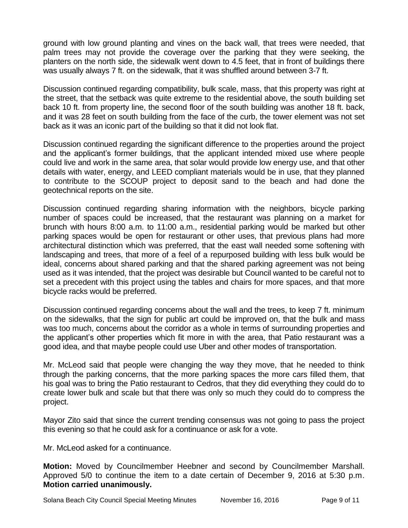ground with low ground planting and vines on the back wall, that trees were needed, that palm trees may not provide the coverage over the parking that they were seeking, the planters on the north side, the sidewalk went down to 4.5 feet, that in front of buildings there was usually always 7 ft. on the sidewalk, that it was shuffled around between 3-7 ft.

Discussion continued regarding compatibility, bulk scale, mass, that this property was right at the street, that the setback was quite extreme to the residential above, the south building set back 10 ft. from property line, the second floor of the south building was another 18 ft. back, and it was 28 feet on south building from the face of the curb, the tower element was not set back as it was an iconic part of the building so that it did not look flat.

Discussion continued regarding the significant difference to the properties around the project and the applicant's former buildings, that the applicant intended mixed use where people could live and work in the same area, that solar would provide low energy use, and that other details with water, energy, and LEED compliant materials would be in use, that they planned to contribute to the SCOUP project to deposit sand to the beach and had done the geotechnical reports on the site.

Discussion continued regarding sharing information with the neighbors, bicycle parking number of spaces could be increased, that the restaurant was planning on a market for brunch with hours 8:00 a.m. to 11:00 a.m., residential parking would be marked but other parking spaces would be open for restaurant or other uses, that previous plans had more architectural distinction which was preferred, that the east wall needed some softening with landscaping and trees, that more of a feel of a repurposed building with less bulk would be ideal, concerns about shared parking and that the shared parking agreement was not being used as it was intended, that the project was desirable but Council wanted to be careful not to set a precedent with this project using the tables and chairs for more spaces, and that more bicycle racks would be preferred.

Discussion continued regarding concerns about the wall and the trees, to keep 7 ft. minimum on the sidewalks, that the sign for public art could be improved on, that the bulk and mass was too much, concerns about the corridor as a whole in terms of surrounding properties and the applicant's other properties which fit more in with the area, that Patio restaurant was a good idea, and that maybe people could use Uber and other modes of transportation.

Mr. McLeod said that people were changing the way they move, that he needed to think through the parking concerns, that the more parking spaces the more cars filled them, that his goal was to bring the Patio restaurant to Cedros, that they did everything they could do to create lower bulk and scale but that there was only so much they could do to compress the project.

Mayor Zito said that since the current trending consensus was not going to pass the project this evening so that he could ask for a continuance or ask for a vote.

Mr. McLeod asked for a continuance.

**Motion:** Moved by Councilmember Heebner and second by Councilmember Marshall. Approved 5/0 to continue the item to a date certain of December 9, 2016 at 5:30 p.m. **Motion carried unanimously.**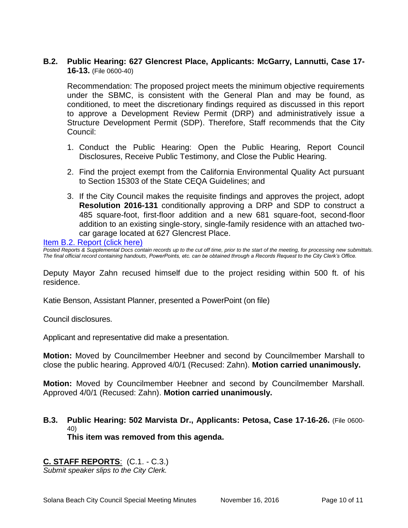#### **B.2. Public Hearing: 627 Glencrest Place, Applicants: McGarry, Lannutti, Case 17- 16-13.** (File 0600-40)

Recommendation: The proposed project meets the minimum objective requirements under the SBMC, is consistent with the General Plan and may be found, as conditioned, to meet the discretionary findings required as discussed in this report to approve a Development Review Permit (DRP) and administratively issue a Structure Development Permit (SDP). Therefore, Staff recommends that the City Council:

- 1. Conduct the Public Hearing: Open the Public Hearing, Report Council Disclosures, Receive Public Testimony, and Close the Public Hearing.
- 2. Find the project exempt from the California Environmental Quality Act pursuant to Section 15303 of the State CEQA Guidelines; and
- 3. If the City Council makes the requisite findings and approves the project, adopt **Resolution 2016-131** conditionally approving a DRP and SDP to construct a 485 square-foot, first-floor addition and a new 681 square-foot, second-floor addition to an existing single-story, single-family residence with an attached twocar garage located at 627 Glencrest Place.

[Item B.2. Report \(click here\)](https://solanabeach.govoffice3.com/vertical/Sites/%7B840804C2-F869-4904-9AE3-720581350CE7%7D/uploads/Item_B.2._Report_(click_here)_-_11-16-16.PDF)

*Posted Reports & Supplemental Docs contain records up to the cut off time, prior to the start of the meeting, for processing new submittals. The final official record containing handouts, PowerPoints, etc. can be obtained through a Records Request to the City Clerk's Office.*

Deputy Mayor Zahn recused himself due to the project residing within 500 ft. of his residence.

Katie Benson, Assistant Planner, presented a PowerPoint (on file)

Council disclosures.

Applicant and representative did make a presentation.

**Motion:** Moved by Councilmember Heebner and second by Councilmember Marshall to close the public hearing. Approved 4/0/1 (Recused: Zahn). **Motion carried unanimously.**

**Motion:** Moved by Councilmember Heebner and second by Councilmember Marshall. Approved 4/0/1 (Recused: Zahn). **Motion carried unanimously.**

**B.3. Public Hearing: 502 Marvista Dr., Applicants: Petosa, Case 17-16-26.** (File 0600- 40) **This item was removed from this agenda.** 

#### **C. STAFF REPORTS**: (C.1. - C.3.)

*Submit speaker slips to the City Clerk.*